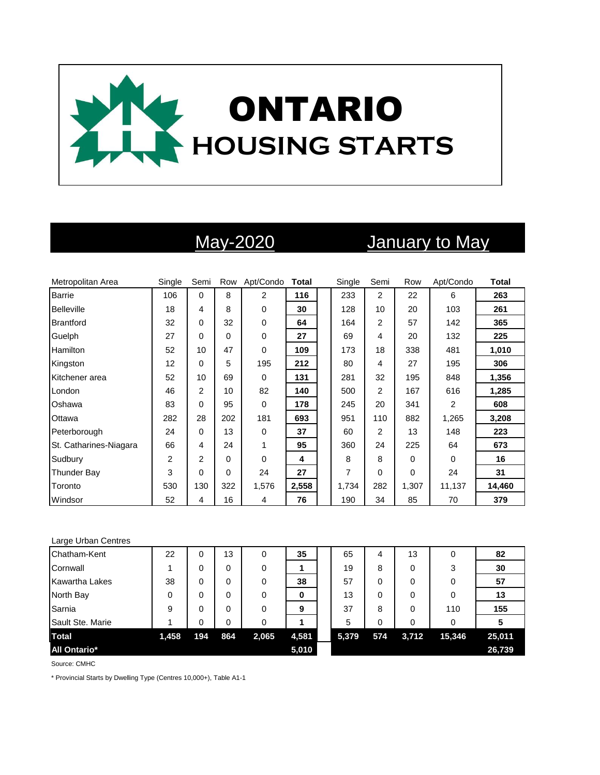

# May-2020 January to May

| Metropolitan Area      | Single         | Semi           | Row | Apt/Condo      | <b>Total</b> | Single | Semi           | Row      | Apt/Condo      | <b>Total</b> |
|------------------------|----------------|----------------|-----|----------------|--------------|--------|----------------|----------|----------------|--------------|
| <b>Barrie</b>          | 106            | $\Omega$       | 8   | $\overline{2}$ | 116          | 233    | $\overline{2}$ | 22       | 6              | 263          |
| <b>Belleville</b>      | 18             | 4              | 8   | $\Omega$       | 30           | 128    | 10             | 20       | 103            | 261          |
| <b>Brantford</b>       | 32             | 0              | 32  | $\mathbf 0$    | 64           | 164    | 2              | 57       | 142            | 365          |
| Guelph                 | 27             | 0              | 0   | 0              | 27           | 69     | 4              | 20       | 132            | 225          |
| Hamilton               | 52             | 10             | 47  | $\Omega$       | 109          | 173    | 18             | 338      | 481            | 1,010        |
| Kingston               | 12             | 0              | 5   | 195            | 212          | 80     | 4              | 27       | 195            | 306          |
| Kitchener area         | 52             | 10             | 69  | $\Omega$       | 131          | 281    | 32             | 195      | 848            | 1,356        |
| London                 | 46             | $\overline{2}$ | 10  | 82             | 140          | 500    | 2              | 167      | 616            | 1,285        |
| Oshawa                 | 83             | 0              | 95  | 0              | 178          | 245    | 20             | 341      | $\overline{2}$ | 608          |
| Ottawa                 | 282            | 28             | 202 | 181            | 693          | 951    | 110            | 882      | 1,265          | 3,208        |
| Peterborough           | 24             | 0              | 13  | 0              | 37           | 60     | 2              | 13       | 148            | 223          |
| St. Catharines-Niagara | 66             | 4              | 24  | 1              | 95           | 360    | 24             | 225      | 64             | 673          |
| Sudbury                | $\overline{2}$ | 2              | 0   | $\Omega$       | 4            | 8      | 8              | 0        | $\Omega$       | 16           |
| <b>Thunder Bay</b>     | 3              | 0              | 0   | 24             | 27           | 7      | 0              | $\Omega$ | 24             | 31           |
| Toronto                | 530            | 130            | 322 | 1,576          | 2,558        | 1,734  | 282            | 1,307    | 11,137         | 14,460       |
| Windsor                | 52             | 4              | 16  | 4              | 76           | 190    | 34             | 85       | 70             | 379          |

### Large Urban Centres

| Chatham-Kent          | 22    | 0   | 13  | 0     | 35    | 65    | 4   | 13    | 0      | 82     |
|-----------------------|-------|-----|-----|-------|-------|-------|-----|-------|--------|--------|
| Cornwall              |       | 0   | 0   | 0     |       | 19    | 8   | 0     | 3      | 30     |
| <b>Kawartha Lakes</b> | 38    | 0   | 0   | 0     | 38    | 57    | 0   | 0     | 0      | 57     |
| North Bay             | 0     | 0   | 0   | 0     | 0     | 13    | 0   | 0     | 0      | 13     |
| Sarnia                | 9     | 0   | 0   | 0     | 9     | 37    | 8   | 0     | 110    | 155    |
| Sault Ste. Marie      |       | 0   | 0   | 0     |       | 5     | 0   | 0     | 0      |        |
| <b>Total</b>          | 1,458 | 194 | 864 | 2,065 | 4,581 | 5,379 | 574 | 3,712 | 15,346 | 25,011 |
| <b>All Ontario*</b>   |       |     |     |       | 5,010 |       |     |       |        | 26,739 |

Source: CMHC

\* Provincial Starts by Dwelling Type (Centres 10,000+), Table A1-1